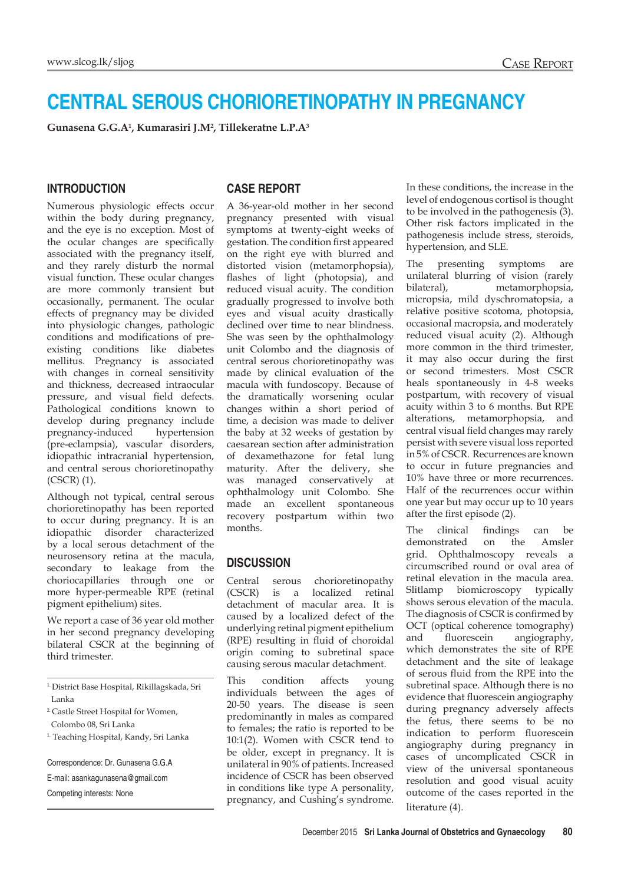# **CENTRAL SEROUS CHORIORETINOPATHY IN PREGNANCY**

**Gunasena G.G.A1 , Kumarasiri J.M2 , Tillekeratne L.P.A3**

#### **INTRODUCTION**

Numerous physiologic effects occur within the body during pregnancy, and the eye is no exception. Most of the ocular changes are specifically associated with the pregnancy itself, and they rarely disturb the normal visual function. These ocular changes are more commonly transient but occasionally, permanent. The ocular effects of pregnancy may be divided into physiologic changes, pathologic conditions and modifications of preexisting conditions like diabetes mellitus. Pregnancy is associated with changes in corneal sensitivity and thickness, decreased intraocular pressure, and visual field defects. Pathological conditions known to develop during pregnancy include pregnancy-induced hypertension (pre-eclampsia), vascular disorders, idiopathic intracranial hypertension, and central serous chorioretinopathy (CSCR) (1).

Although not typical, central serous chorioretinopathy has been reported to occur during pregnancy. It is an idiopathic disorder characterized by a local serous detachment of the neurosensory retina at the macula, secondary to leakage from the choriocapillaries through one or more hyper-permeable RPE (retinal pigment epithelium) sites.

We report a case of 36 year old mother in her second pregnancy developing bilateral CSCR at the beginning of third trimester.

Correspondence: Dr. Gunasena G.G.A

E-mail: asankagunasena@gmail.com

Competing interests: None

#### **CASE REPORT**

A 36-year-old mother in her second pregnancy presented with visual symptoms at twenty-eight weeks of gestation. The condition first appeared on the right eye with blurred and distorted vision (metamorphopsia), flashes of light (photopsia), and reduced visual acuity. The condition gradually progressed to involve both eyes and visual acuity drastically declined over time to near blindness. She was seen by the ophthalmology unit Colombo and the diagnosis of central serous chorioretinopathy was made by clinical evaluation of the macula with fundoscopy. Because of the dramatically worsening ocular changes within a short period of time, a decision was made to deliver the baby at 32 weeks of gestation by caesarean section after administration of dexamethazone for fetal lung maturity. After the delivery, she was managed conservatively at ophthalmology unit Colombo. She made an excellent spontaneous recovery postpartum within two months.

### **DISCUSSION**

Central serous chorioretinopathy (CSCR) is a localized retinal detachment of macular area. It is caused by a localized defect of the underlying retinal pigment epithelium (RPE) resulting in fluid of choroidal origin coming to subretinal space causing serous macular detachment.

This condition affects young individuals between the ages of 20-50 years. The disease is seen predominantly in males as compared to females; the ratio is reported to be 10:1(2). Women with CSCR tend to be older, except in pregnancy. It is unilateral in 90% of patients. Increased incidence of CSCR has been observed in conditions like type A personality, pregnancy, and Cushing's syndrome. In these conditions, the increase in the level of endogenous cortisol is thought to be involved in the pathogenesis (3). Other risk factors implicated in the pathogenesis include stress, steroids, hypertension, and SLE.

The presenting symptoms are unilateral blurring of vision (rarely bilateral), metamorphopsia, micropsia, mild dyschromatopsia, a relative positive scotoma, photopsia, occasional macropsia, and moderately reduced visual acuity (2). Although more common in the third trimester, it may also occur during the first or second trimesters. Most CSCR heals spontaneously in 4-8 weeks postpartum, with recovery of visual acuity within 3 to 6 months. But RPE alterations, metamorphopsia, and central visual field changes may rarely persist with severe visual loss reported in 5% of CSCR. Recurrences are known to occur in future pregnancies and 10% have three or more recurrences. Half of the recurrences occur within one year but may occur up to 10 years after the first episode (2).

The clinical findings can be demonstrated on the Amsler grid. Ophthalmoscopy reveals a circumscribed round or oval area of retinal elevation in the macula area. Slitlamp biomicroscopy typically shows serous elevation of the macula. The diagnosis of CSCR is confirmed by OCT (optical coherence tomography) and fluorescein angiography, which demonstrates the site of RPE detachment and the site of leakage of serous fluid from the RPE into the subretinal space. Although there is no evidence that fluorescein angiography during pregnancy adversely affects the fetus, there seems to be no indication to perform fluorescein angiography during pregnancy in cases of uncomplicated CSCR in view of the universal spontaneous resolution and good visual acuity outcome of the cases reported in the literature (4).

<sup>1.</sup> District Base Hospital, Rikillagskada, Sri Lanka

<sup>2.</sup> Castle Street Hospital for Women, Colombo 08, Sri Lanka

<sup>&</sup>lt;sup>1.</sup> Teaching Hospital, Kandy, Sri Lanka